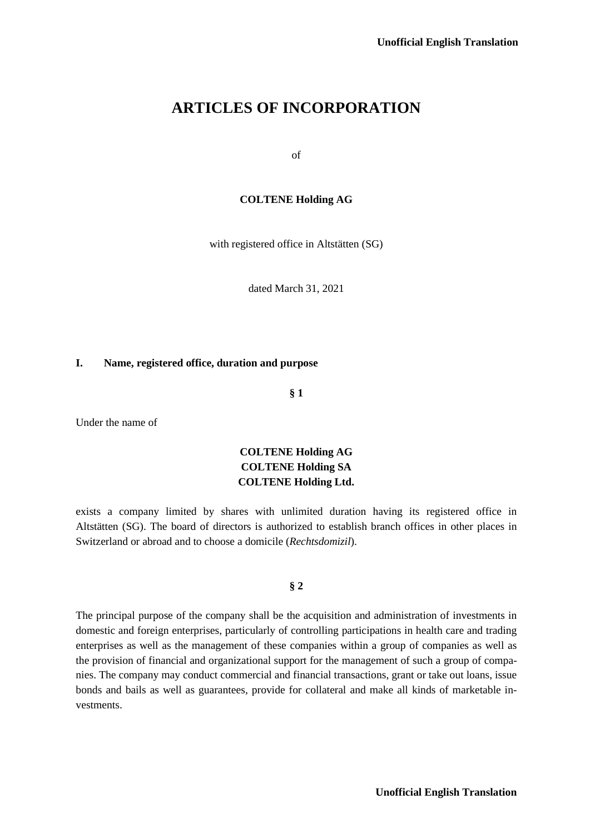# **ARTICLES OF INCORPORATION**

of

## **COLTENE Holding AG**

with registered office in Altstätten (SG)

dated March 31, 2021

## **I. Name, registered office, duration and purpose**

**§ 1**

Under the name of

## **COLTENE Holding AG COLTENE Holding SA COLTENE Holding Ltd.**

exists a company limited by shares with unlimited duration having its registered office in Altstätten (SG). The board of directors is authorized to establish branch offices in other places in Switzerland or abroad and to choose a domicile (*Rechtsdomizil*).

## **§ 2**

The principal purpose of the company shall be the acquisition and administration of investments in domestic and foreign enterprises, particularly of controlling participations in health care and trading enterprises as well as the management of these companies within a group of companies as well as the provision of financial and organizational support for the management of such a group of companies. The company may conduct commercial and financial transactions, grant or take out loans, issue bonds and bails as well as guarantees, provide for collateral and make all kinds of marketable investments.

**Unofficial English Translation**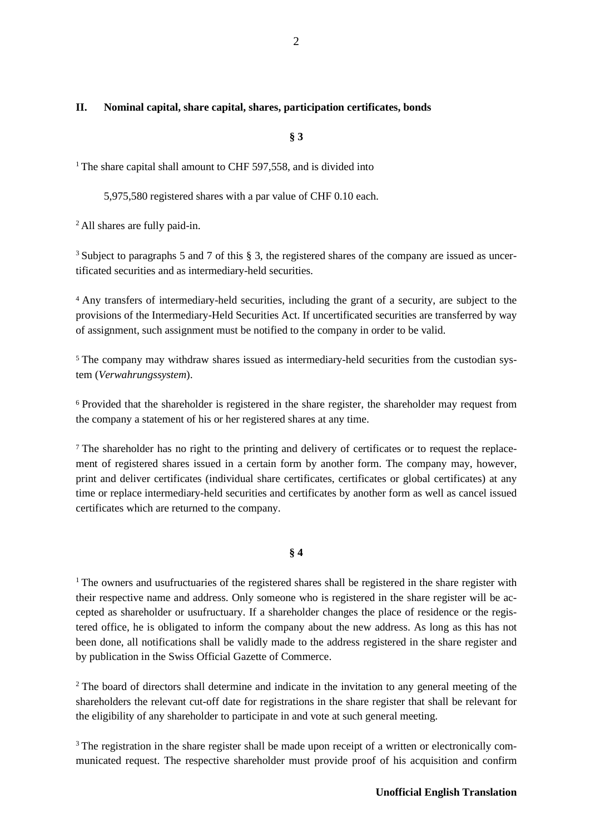## **II. Nominal capital, share capital, shares, participation certificates, bonds**

**§ 3**

<sup>1</sup> The share capital shall amount to CHF 597,558, and is divided into

5,975,580 registered shares with a par value of CHF 0.10 each.

2 All shares are fully paid-in.

<sup>3</sup> Subject to paragraphs 5 and 7 of this § 3, the registered shares of the company are issued as uncertificated securities and as intermediary-held securities.

4 Any transfers of intermediary-held securities, including the grant of a security, are subject to the provisions of the Intermediary-Held Securities Act. If uncertificated securities are transferred by way of assignment, such assignment must be notified to the company in order to be valid.

<sup>5</sup> The company may withdraw shares issued as intermediary-held securities from the custodian system (*Verwahrungssystem*).

<sup>6</sup> Provided that the shareholder is registered in the share register, the shareholder may request from the company a statement of his or her registered shares at any time.

<sup>7</sup> The shareholder has no right to the printing and delivery of certificates or to request the replacement of registered shares issued in a certain form by another form. The company may, however, print and deliver certificates (individual share certificates, certificates or global certificates) at any time or replace intermediary-held securities and certificates by another form as well as cancel issued certificates which are returned to the company.

**§ 4**

<sup>1</sup> The owners and usufructuaries of the registered shares shall be registered in the share register with their respective name and address. Only someone who is registered in the share register will be accepted as shareholder or usufructuary. If a shareholder changes the place of residence or the registered office, he is obligated to inform the company about the new address. As long as this has not been done, all notifications shall be validly made to the address registered in the share register and by publication in the Swiss Official Gazette of Commerce.

<sup>2</sup> The board of directors shall determine and indicate in the invitation to any general meeting of the shareholders the relevant cut-off date for registrations in the share register that shall be relevant for the eligibility of any shareholder to participate in and vote at such general meeting.

<sup>3</sup> The registration in the share register shall be made upon receipt of a written or electronically communicated request. The respective shareholder must provide proof of his acquisition and confirm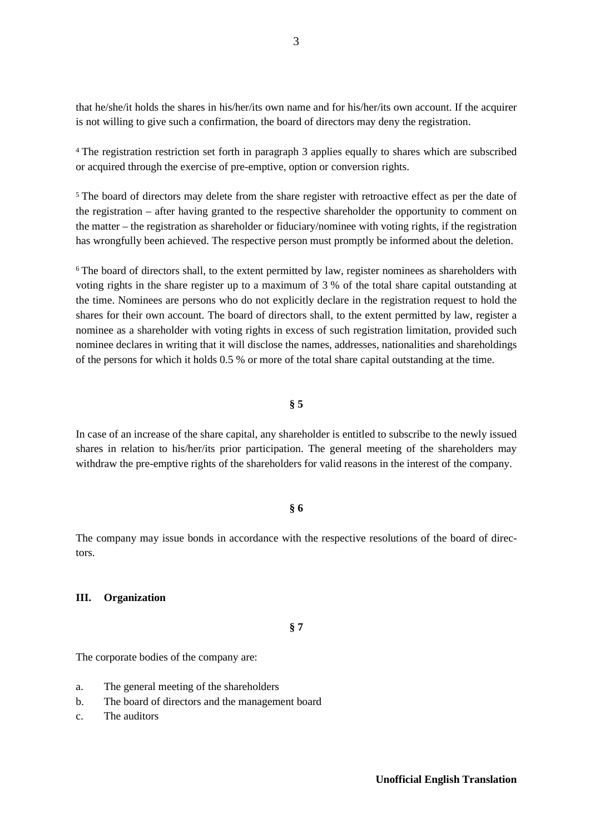that he/she/it holds the shares in his/her/its own name and for his/her/its own account. If the acquirer is not willing to give such a confirmation, the board of directors may deny the registration.

<sup>4</sup> The registration restriction set forth in paragraph 3 applies equally to shares which are subscribed or acquired through the exercise of pre-emptive, option or conversion rights.

<sup>5</sup> The board of directors may delete from the share register with retroactive effect as per the date of the registration – after having granted to the respective shareholder the opportunity to comment on the matter – the registration as shareholder or fiduciary/nominee with voting rights, if the registration has wrongfully been achieved. The respective person must promptly be informed about the deletion.

<sup>6</sup> The board of directors shall, to the extent permitted by law, register nominees as shareholders with voting rights in the share register up to a maximum of 3 % of the total share capital outstanding at the time. Nominees are persons who do not explicitly declare in the registration request to hold the shares for their own account. The board of directors shall, to the extent permitted by law, register a nominee as a shareholder with voting rights in excess of such registration limitation, provided such nominee declares in writing that it will disclose the names, addresses, nationalities and shareholdings of the persons for which it holds 0.5 % or more of the total share capital outstanding at the time.

#### **§ 5**

In case of an increase of the share capital, any shareholder is entitled to subscribe to the newly issued shares in relation to his/her/its prior participation. The general meeting of the shareholders may withdraw the pre-emptive rights of the shareholders for valid reasons in the interest of the company.

## **§ 6**

The company may issue bonds in accordance with the respective resolutions of the board of directors.

#### **III. Organization**

**§ 7**

The corporate bodies of the company are:

- a. The general meeting of the shareholders
- b. The board of directors and the management board
- c. The auditors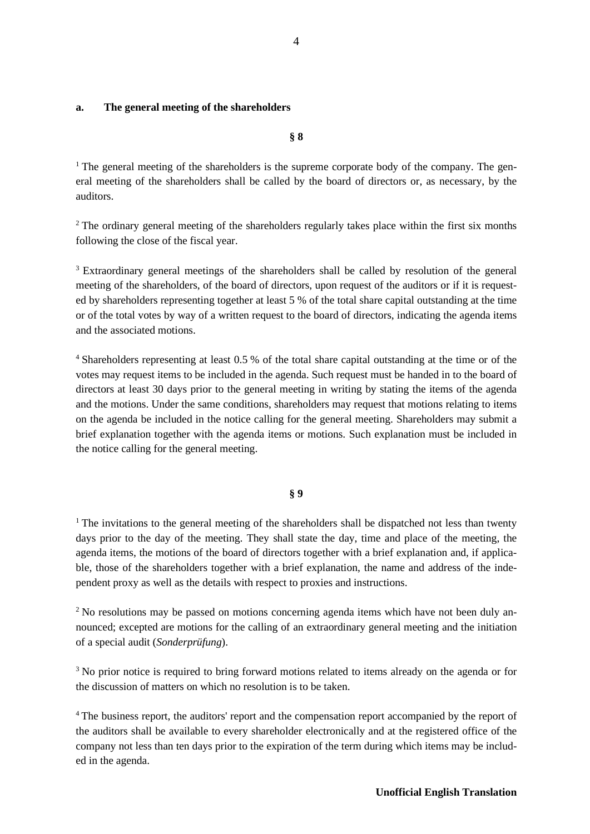## **a. The general meeting of the shareholders**

**§ 8**

<sup>1</sup> The general meeting of the shareholders is the supreme corporate body of the company. The general meeting of the shareholders shall be called by the board of directors or, as necessary, by the auditors.

<sup>2</sup> The ordinary general meeting of the shareholders regularly takes place within the first six months following the close of the fiscal year.

<sup>3</sup> Extraordinary general meetings of the shareholders shall be called by resolution of the general meeting of the shareholders, of the board of directors, upon request of the auditors or if it is requested by shareholders representing together at least 5 % of the total share capital outstanding at the time or of the total votes by way of a written request to the board of directors, indicating the agenda items and the associated motions.

4 Shareholders representing at least 0.5 % of the total share capital outstanding at the time or of the votes may request items to be included in the agenda. Such request must be handed in to the board of directors at least 30 days prior to the general meeting in writing by stating the items of the agenda and the motions. Under the same conditions, shareholders may request that motions relating to items on the agenda be included in the notice calling for the general meeting. Shareholders may submit a brief explanation together with the agenda items or motions. Such explanation must be included in the notice calling for the general meeting.

#### **§ 9**

<sup>1</sup> The invitations to the general meeting of the shareholders shall be dispatched not less than twenty days prior to the day of the meeting. They shall state the day, time and place of the meeting, the agenda items, the motions of the board of directors together with a brief explanation and, if applicable, those of the shareholders together with a brief explanation, the name and address of the independent proxy as well as the details with respect to proxies and instructions.

<sup>2</sup> No resolutions may be passed on motions concerning agenda items which have not been duly announced; excepted are motions for the calling of an extraordinary general meeting and the initiation of a special audit (*Sonderprüfung*).

<sup>3</sup> No prior notice is required to bring forward motions related to items already on the agenda or for the discussion of matters on which no resolution is to be taken.

<sup>4</sup> The business report, the auditors' report and the compensation report accompanied by the report of the auditors shall be available to every shareholder electronically and at the registered office of the company not less than ten days prior to the expiration of the term during which items may be included in the agenda.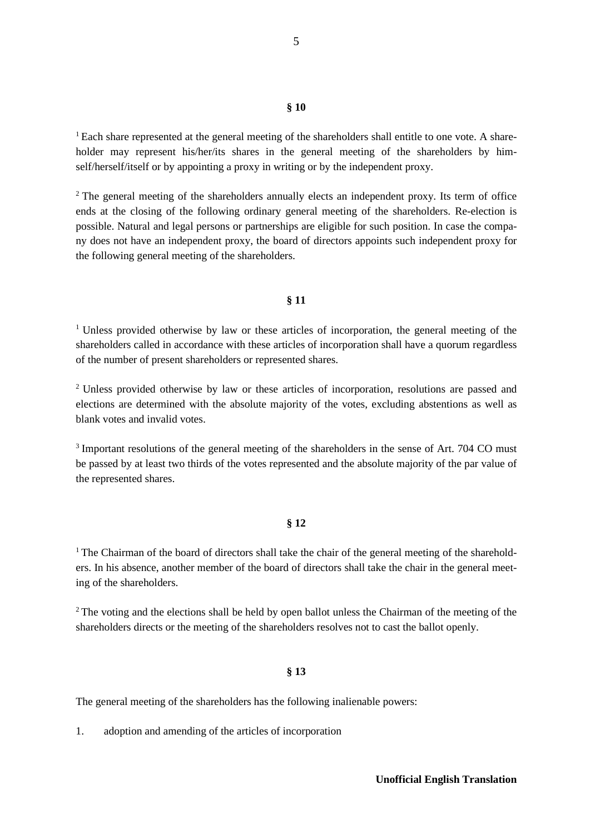## **§ 10**

<sup>1</sup> Each share represented at the general meeting of the shareholders shall entitle to one vote. A shareholder may represent his/her/its shares in the general meeting of the shareholders by himself/herself/itself or by appointing a proxy in writing or by the independent proxy.

<sup>2</sup> The general meeting of the shareholders annually elects an independent proxy. Its term of office ends at the closing of the following ordinary general meeting of the shareholders. Re-election is possible. Natural and legal persons or partnerships are eligible for such position. In case the company does not have an independent proxy, the board of directors appoints such independent proxy for the following general meeting of the shareholders.

#### **§ 11**

<sup>1</sup> Unless provided otherwise by law or these articles of incorporation, the general meeting of the shareholders called in accordance with these articles of incorporation shall have a quorum regardless of the number of present shareholders or represented shares.

<sup>2</sup> Unless provided otherwise by law or these articles of incorporation, resolutions are passed and elections are determined with the absolute majority of the votes, excluding abstentions as well as blank votes and invalid votes.

<sup>3</sup> Important resolutions of the general meeting of the shareholders in the sense of Art. 704 CO must be passed by at least two thirds of the votes represented and the absolute majority of the par value of the represented shares.

#### **§ 12**

<sup>1</sup> The Chairman of the board of directors shall take the chair of the general meeting of the shareholders. In his absence, another member of the board of directors shall take the chair in the general meeting of the shareholders.

<sup>2</sup> The voting and the elections shall be held by open ballot unless the Chairman of the meeting of the shareholders directs or the meeting of the shareholders resolves not to cast the ballot openly.

#### **§ 13**

The general meeting of the shareholders has the following inalienable powers:

1. adoption and amending of the articles of incorporation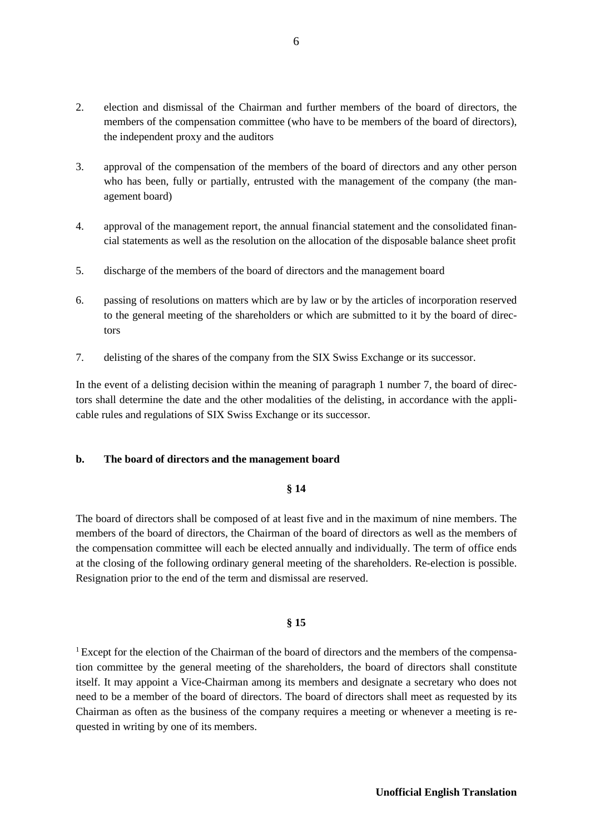- 2. election and dismissal of the Chairman and further members of the board of directors, the members of the compensation committee (who have to be members of the board of directors), the independent proxy and the auditors
- 3. approval of the compensation of the members of the board of directors and any other person who has been, fully or partially, entrusted with the management of the company (the management board)
- 4. approval of the management report, the annual financial statement and the consolidated financial statements as well as the resolution on the allocation of the disposable balance sheet profit
- 5. discharge of the members of the board of directors and the management board
- 6. passing of resolutions on matters which are by law or by the articles of incorporation reserved to the general meeting of the shareholders or which are submitted to it by the board of directors
- 7. delisting of the shares of the company from the SIX Swiss Exchange or its successor.

In the event of a delisting decision within the meaning of paragraph 1 number 7, the board of directors shall determine the date and the other modalities of the delisting, in accordance with the applicable rules and regulations of SIX Swiss Exchange or its successor.

## **b. The board of directors and the management board**

## **§ 14**

The board of directors shall be composed of at least five and in the maximum of nine members. The members of the board of directors, the Chairman of the board of directors as well as the members of the compensation committee will each be elected annually and individually. The term of office ends at the closing of the following ordinary general meeting of the shareholders. Re-election is possible. Resignation prior to the end of the term and dismissal are reserved.

#### **§ 15**

<sup>1</sup> Except for the election of the Chairman of the board of directors and the members of the compensation committee by the general meeting of the shareholders, the board of directors shall constitute itself. It may appoint a Vice-Chairman among its members and designate a secretary who does not need to be a member of the board of directors. The board of directors shall meet as requested by its Chairman as often as the business of the company requires a meeting or whenever a meeting is requested in writing by one of its members.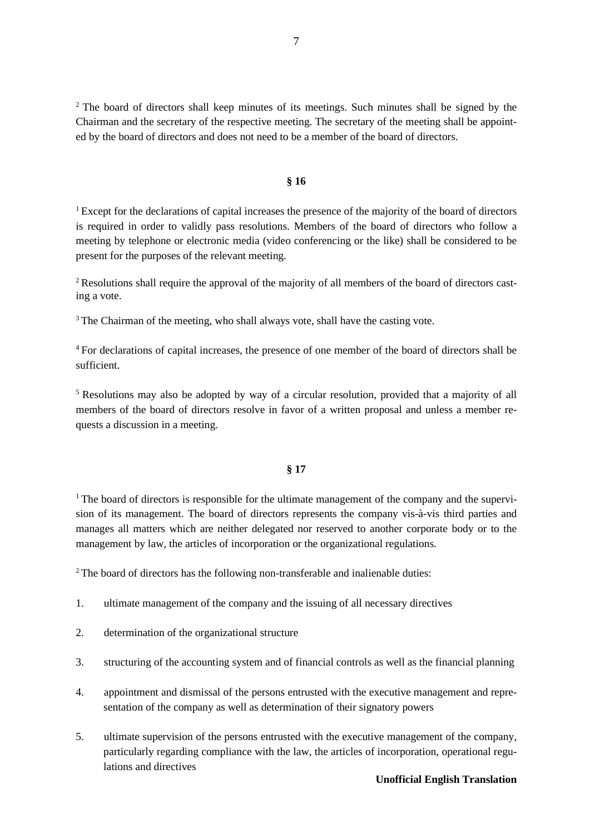<sup>2</sup> The board of directors shall keep minutes of its meetings. Such minutes shall be signed by the Chairman and the secretary of the respective meeting. The secretary of the meeting shall be appointed by the board of directors and does not need to be a member of the board of directors.

## **§ 16**

<sup>1</sup> Except for the declarations of capital increases the presence of the majority of the board of directors is required in order to validly pass resolutions. Members of the board of directors who follow a meeting by telephone or electronic media (video conferencing or the like) shall be considered to be present for the purposes of the relevant meeting.

2 Resolutions shall require the approval of the majority of all members of the board of directors casting a vote.

<sup>3</sup> The Chairman of the meeting, who shall always vote, shall have the casting vote.

<sup>4</sup> For declarations of capital increases, the presence of one member of the board of directors shall be sufficient.

<sup>5</sup> Resolutions may also be adopted by way of a circular resolution, provided that a majority of all members of the board of directors resolve in favor of a written proposal and unless a member requests a discussion in a meeting.

#### **§ 17**

 $1$ <sup>1</sup> The board of directors is responsible for the ultimate management of the company and the supervision of its management. The board of directors represents the company vis-à-vis third parties and manages all matters which are neither delegated nor reserved to another corporate body or to the management by law, the articles of incorporation or the organizational regulations.

<sup>2</sup> The board of directors has the following non-transferable and inalienable duties:

- 1. ultimate management of the company and the issuing of all necessary directives
- 2. determination of the organizational structure
- 3. structuring of the accounting system and of financial controls as well as the financial planning
- 4. appointment and dismissal of the persons entrusted with the executive management and representation of the company as well as determination of their signatory powers
- 5. ultimate supervision of the persons entrusted with the executive management of the company, particularly regarding compliance with the law, the articles of incorporation, operational regulations and directives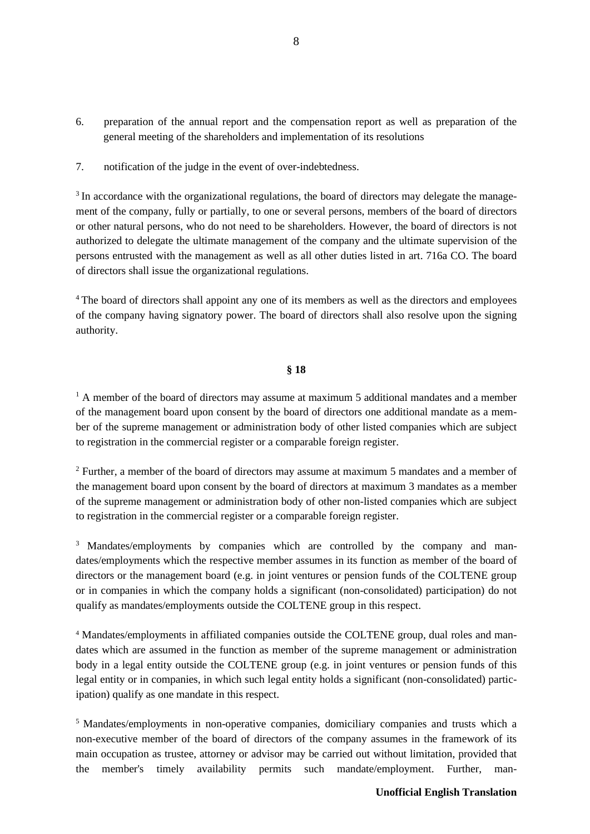- 6. preparation of the annual report and the compensation report as well as preparation of the general meeting of the shareholders and implementation of its resolutions
- 7. notification of the judge in the event of over-indebtedness.

<sup>3</sup> In accordance with the organizational regulations, the board of directors may delegate the management of the company, fully or partially, to one or several persons, members of the board of directors or other natural persons, who do not need to be shareholders. However, the board of directors is not authorized to delegate the ultimate management of the company and the ultimate supervision of the persons entrusted with the management as well as all other duties listed in art. 716a CO. The board of directors shall issue the organizational regulations.

<sup>4</sup> The board of directors shall appoint any one of its members as well as the directors and employees of the company having signatory power. The board of directors shall also resolve upon the signing authority.

## **§ 18**

 $<sup>1</sup>$  A member of the board of directors may assume at maximum 5 additional mandates and a member</sup> of the management board upon consent by the board of directors one additional mandate as a member of the supreme management or administration body of other listed companies which are subject to registration in the commercial register or a comparable foreign register.

<sup>2</sup> Further, a member of the board of directors may assume at maximum 5 mandates and a member of the management board upon consent by the board of directors at maximum 3 mandates as a member of the supreme management or administration body of other non-listed companies which are subject to registration in the commercial register or a comparable foreign register.

<sup>3</sup> Mandates/employments by companies which are controlled by the company and mandates/employments which the respective member assumes in its function as member of the board of directors or the management board (e.g. in joint ventures or pension funds of the COLTENE group or in companies in which the company holds a significant (non-consolidated) participation) do not qualify as mandates/employments outside the COLTENE group in this respect.

<sup>4</sup> Mandates/employments in affiliated companies outside the COLTENE group, dual roles and mandates which are assumed in the function as member of the supreme management or administration body in a legal entity outside the COLTENE group (e.g. in joint ventures or pension funds of this legal entity or in companies, in which such legal entity holds a significant (non-consolidated) participation) qualify as one mandate in this respect.

5 Mandates/employments in non-operative companies, domiciliary companies and trusts which a non-executive member of the board of directors of the company assumes in the framework of its main occupation as trustee, attorney or advisor may be carried out without limitation, provided that the member's timely availability permits such mandate/employment. Further, man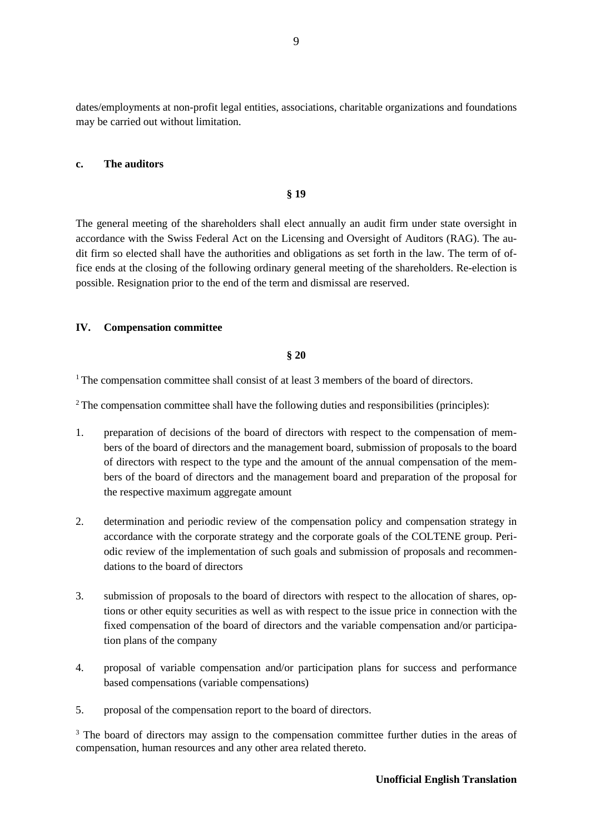dates/employments at non-profit legal entities, associations, charitable organizations and foundations may be carried out without limitation.

## **c. The auditors**

#### **§ 19**

The general meeting of the shareholders shall elect annually an audit firm under state oversight in accordance with the Swiss Federal Act on the Licensing and Oversight of Auditors (RAG). The audit firm so elected shall have the authorities and obligations as set forth in the law. The term of office ends at the closing of the following ordinary general meeting of the shareholders. Re-election is possible. Resignation prior to the end of the term and dismissal are reserved.

#### **IV. Compensation committee**

## **§ 20**

<sup>1</sup> The compensation committee shall consist of at least 3 members of the board of directors.

<sup>2</sup> The compensation committee shall have the following duties and responsibilities (principles):

- 1. preparation of decisions of the board of directors with respect to the compensation of members of the board of directors and the management board, submission of proposals to the board of directors with respect to the type and the amount of the annual compensation of the members of the board of directors and the management board and preparation of the proposal for the respective maximum aggregate amount
- 2. determination and periodic review of the compensation policy and compensation strategy in accordance with the corporate strategy and the corporate goals of the COLTENE group. Periodic review of the implementation of such goals and submission of proposals and recommendations to the board of directors
- 3. submission of proposals to the board of directors with respect to the allocation of shares, options or other equity securities as well as with respect to the issue price in connection with the fixed compensation of the board of directors and the variable compensation and/or participation plans of the company
- 4. proposal of variable compensation and/or participation plans for success and performance based compensations (variable compensations)
- 5. proposal of the compensation report to the board of directors.

<sup>3</sup> The board of directors may assign to the compensation committee further duties in the areas of compensation, human resources and any other area related thereto.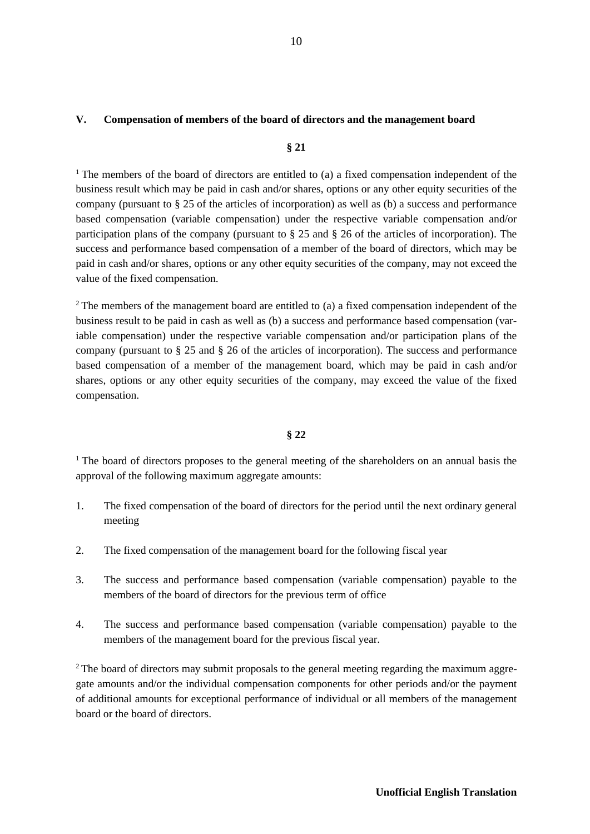## **V. Compensation of members of the board of directors and the management board**

#### **§ 21**

<sup>1</sup> The members of the board of directors are entitled to (a) a fixed compensation independent of the business result which may be paid in cash and/or shares, options or any other equity securities of the company (pursuant to § 25 of the articles of incorporation) as well as (b) a success and performance based compensation (variable compensation) under the respective variable compensation and/or participation plans of the company (pursuant to § 25 and § 26 of the articles of incorporation). The success and performance based compensation of a member of the board of directors, which may be paid in cash and/or shares, options or any other equity securities of the company, may not exceed the value of the fixed compensation.

<sup>2</sup> The members of the management board are entitled to (a) a fixed compensation independent of the business result to be paid in cash as well as (b) a success and performance based compensation (variable compensation) under the respective variable compensation and/or participation plans of the company (pursuant to § 25 and § 26 of the articles of incorporation). The success and performance based compensation of a member of the management board, which may be paid in cash and/or shares, options or any other equity securities of the company, may exceed the value of the fixed compensation.

#### **§ 22**

<sup>1</sup> The board of directors proposes to the general meeting of the shareholders on an annual basis the approval of the following maximum aggregate amounts:

- 1. The fixed compensation of the board of directors for the period until the next ordinary general meeting
- 2. The fixed compensation of the management board for the following fiscal year
- 3. The success and performance based compensation (variable compensation) payable to the members of the board of directors for the previous term of office
- 4. The success and performance based compensation (variable compensation) payable to the members of the management board for the previous fiscal year.

<sup>2</sup> The board of directors may submit proposals to the general meeting regarding the maximum aggregate amounts and/or the individual compensation components for other periods and/or the payment of additional amounts for exceptional performance of individual or all members of the management board or the board of directors.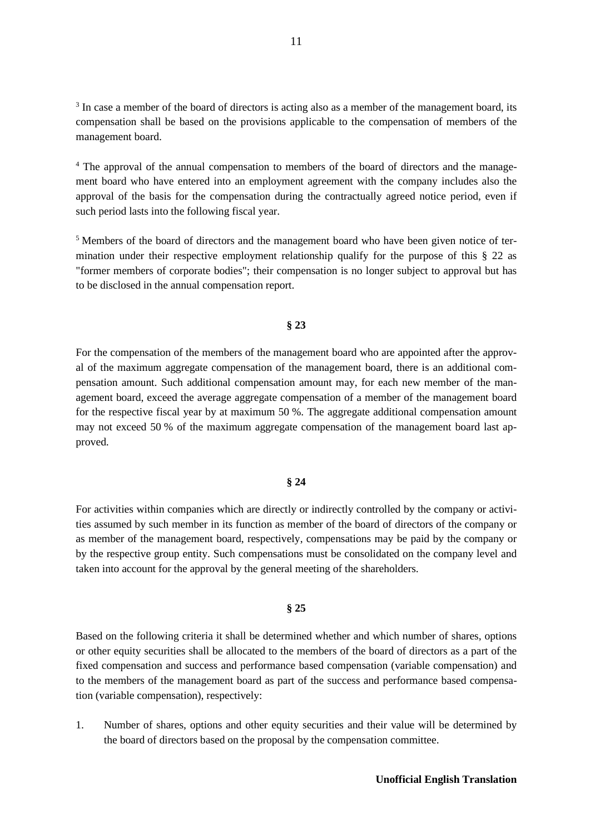<sup>3</sup> In case a member of the board of directors is acting also as a member of the management board, its compensation shall be based on the provisions applicable to the compensation of members of the management board.

<sup>4</sup> The approval of the annual compensation to members of the board of directors and the management board who have entered into an employment agreement with the company includes also the approval of the basis for the compensation during the contractually agreed notice period, even if such period lasts into the following fiscal year.

<sup>5</sup> Members of the board of directors and the management board who have been given notice of termination under their respective employment relationship qualify for the purpose of this § 22 as "former members of corporate bodies"; their compensation is no longer subject to approval but has to be disclosed in the annual compensation report.

#### **§ 23**

For the compensation of the members of the management board who are appointed after the approval of the maximum aggregate compensation of the management board, there is an additional compensation amount. Such additional compensation amount may, for each new member of the management board, exceed the average aggregate compensation of a member of the management board for the respective fiscal year by at maximum 50 %. The aggregate additional compensation amount may not exceed 50 % of the maximum aggregate compensation of the management board last approved.

## **§ 24**

For activities within companies which are directly or indirectly controlled by the company or activities assumed by such member in its function as member of the board of directors of the company or as member of the management board, respectively, compensations may be paid by the company or by the respective group entity. Such compensations must be consolidated on the company level and taken into account for the approval by the general meeting of the shareholders.

#### **§ 25**

Based on the following criteria it shall be determined whether and which number of shares, options or other equity securities shall be allocated to the members of the board of directors as a part of the fixed compensation and success and performance based compensation (variable compensation) and to the members of the management board as part of the success and performance based compensation (variable compensation), respectively:

1. Number of shares, options and other equity securities and their value will be determined by the board of directors based on the proposal by the compensation committee.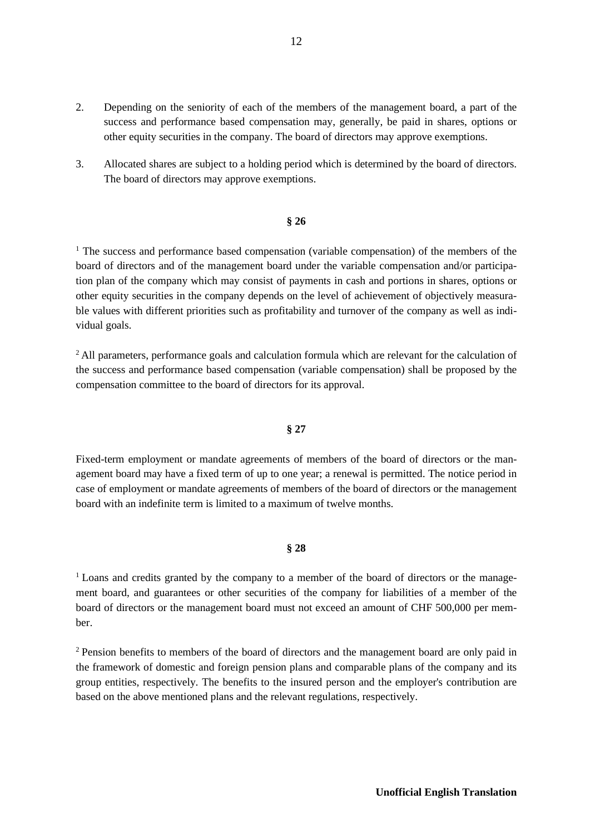- 2. Depending on the seniority of each of the members of the management board, a part of the success and performance based compensation may, generally, be paid in shares, options or other equity securities in the company. The board of directors may approve exemptions.
- 3. Allocated shares are subject to a holding period which is determined by the board of directors. The board of directors may approve exemptions.

#### **§ 26**

<sup>1</sup> The success and performance based compensation (variable compensation) of the members of the board of directors and of the management board under the variable compensation and/or participation plan of the company which may consist of payments in cash and portions in shares, options or other equity securities in the company depends on the level of achievement of objectively measurable values with different priorities such as profitability and turnover of the company as well as individual goals.

<sup>2</sup> All parameters, performance goals and calculation formula which are relevant for the calculation of the success and performance based compensation (variable compensation) shall be proposed by the compensation committee to the board of directors for its approval.

## **§ 27**

Fixed-term employment or mandate agreements of members of the board of directors or the management board may have a fixed term of up to one year; a renewal is permitted. The notice period in case of employment or mandate agreements of members of the board of directors or the management board with an indefinite term is limited to a maximum of twelve months.

#### **§ 28**

<sup>1</sup> Loans and credits granted by the company to a member of the board of directors or the management board, and guarantees or other securities of the company for liabilities of a member of the board of directors or the management board must not exceed an amount of CHF 500,000 per member.

2 Pension benefits to members of the board of directors and the management board are only paid in the framework of domestic and foreign pension plans and comparable plans of the company and its group entities, respectively. The benefits to the insured person and the employer's contribution are based on the above mentioned plans and the relevant regulations, respectively.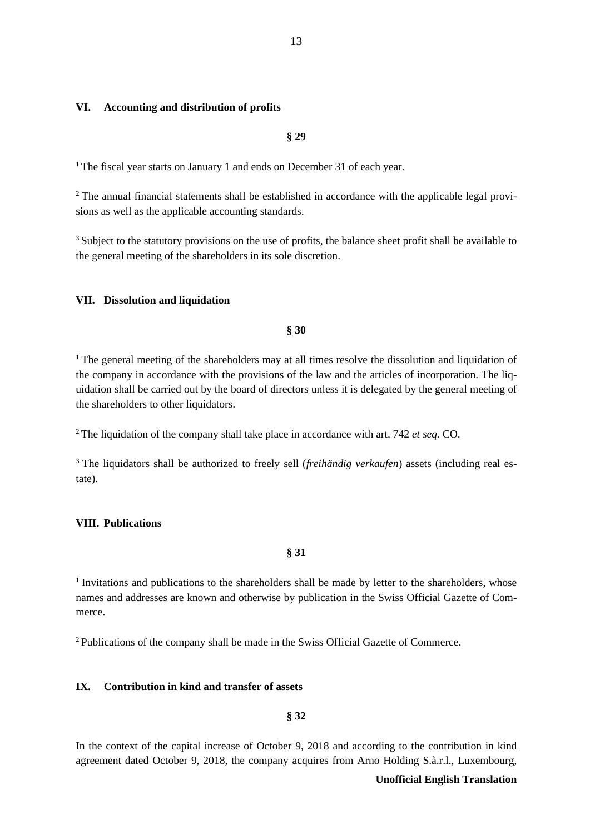#### **VI. Accounting and distribution of profits**

**§ 29**

<sup>1</sup> The fiscal year starts on January 1 and ends on December 31 of each year.

<sup>2</sup> The annual financial statements shall be established in accordance with the applicable legal provisions as well as the applicable accounting standards.

<sup>3</sup> Subject to the statutory provisions on the use of profits, the balance sheet profit shall be available to the general meeting of the shareholders in its sole discretion.

## **VII. Dissolution and liquidation**

**§ 30**

<sup>1</sup> The general meeting of the shareholders may at all times resolve the dissolution and liquidation of the company in accordance with the provisions of the law and the articles of incorporation. The liquidation shall be carried out by the board of directors unless it is delegated by the general meeting of the shareholders to other liquidators.

2 The liquidation of the company shall take place in accordance with art. 742 *et seq.* CO.

3 The liquidators shall be authorized to freely sell (*freihändig verkaufen*) assets (including real estate).

#### **VIII. Publications**

**§ 31**

 $1$  Invitations and publications to the shareholders shall be made by letter to the shareholders, whose names and addresses are known and otherwise by publication in the Swiss Official Gazette of Commerce.

2 Publications of the company shall be made in the Swiss Official Gazette of Commerce.

#### **IX. Contribution in kind and transfer of assets**

**§ 32**

In the context of the capital increase of October 9, 2018 and according to the contribution in kind agreement dated October 9, 2018, the company acquires from Arno Holding S.à.r.l., Luxembourg,

## **Unofficial English Translation**